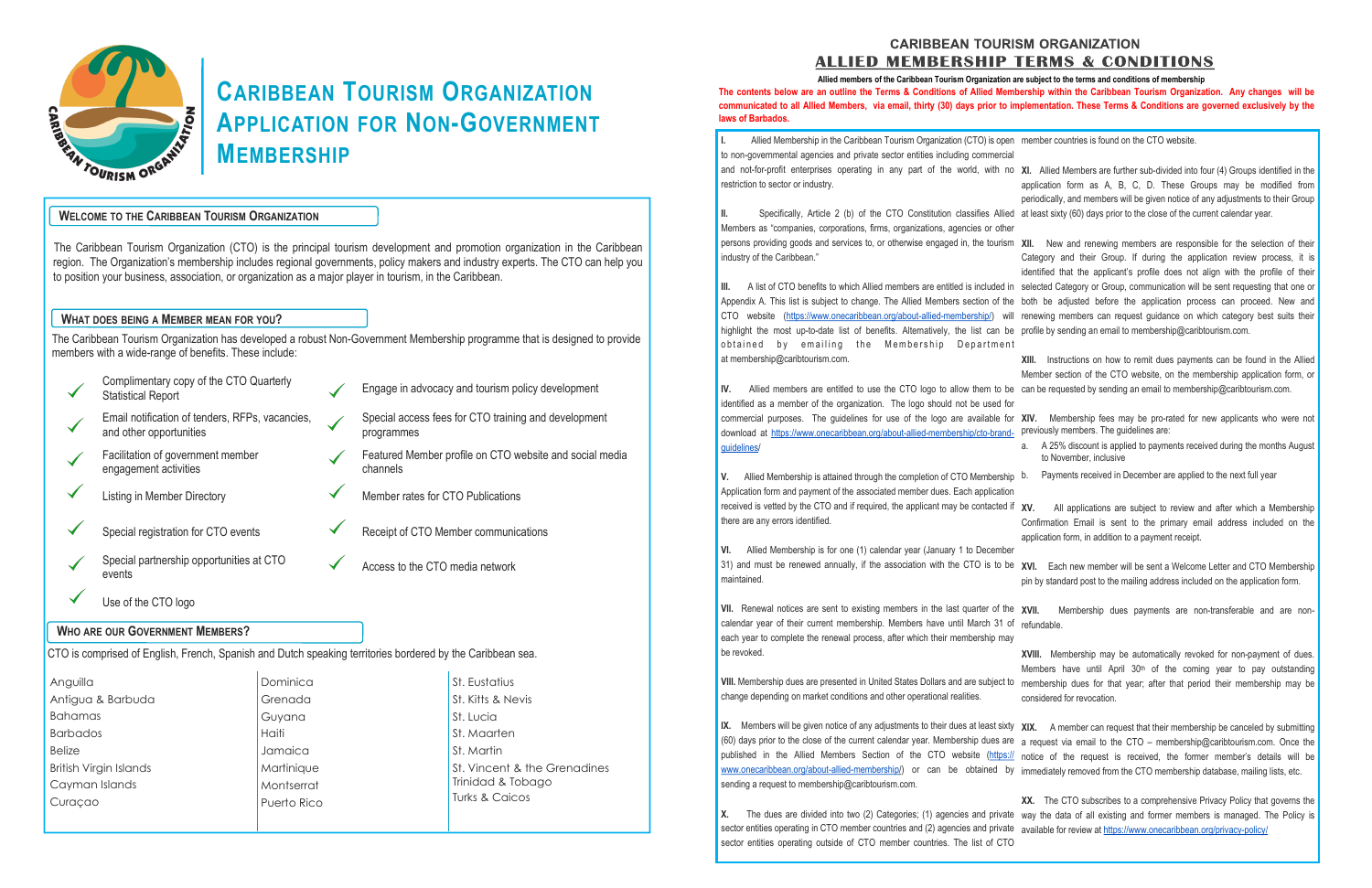## **CARIBBEAN TOURISM ORGANIZATION ALLIED MEMBERSHIP TERMS & CONDITIONS**



# CARIBBEAN TOURISM ORGANIZATION<br>APPLICATION FOR NON-GOVERNMENT APPLICATION FOR NON-GOVERNMENT MEMBERSHIP

### WELCOME TO THE CARIBBEAN TOURISM ORGANIZATION

The Caribbean Tourism Organization (CTO) is the principal tourism development and promotion organization in the Caribbean region. The Organization's membership includes regional governments, policy makers and industry experts. The CTO can help you to position your business, association, or organization as a major player in tourism, in the Caribbean.

### WHAT DOES BEING A MEMBER MEAN FOR YOU?

The Caribbean Tourism Organization has developed a robust Non-Government Membership programme that is designed to provide members with a wide-range of benefits. These include:

Bahamas Barbados Belize British Virgin Islands Cayman Islands Curaçao

Guyana Haiti Jamaica **Martinique** Montserrat Puerto Rico

St. Lucia St. Maarten St. Martin St. Vincent & the Grenadines Trinidad & Tobago Turks & Caicos

and not-for-profit enterprises operating in any part of the world, with restriction to sector or industry.

II. Specifically, Article 2 (b) of the CTO Constitution classifies Allie Members as "companies, corporations, firms, organizations, agencies or oth persons providing goods and services to, or otherwise engaged in, the touris industry of the Caribbean."

|                                                                                                            | Complimentary copy of the CTO Quarterly<br><b>Statistical Report</b>       |  |  | Engage in advocacy and tourism policy development                   |                   |  |  |
|------------------------------------------------------------------------------------------------------------|----------------------------------------------------------------------------|--|--|---------------------------------------------------------------------|-------------------|--|--|
|                                                                                                            | Email notification of tenders, RFPs, vacancies,<br>and other opportunities |  |  | Special access fees for CTO training and development<br>programmes  |                   |  |  |
|                                                                                                            | Facilitation of government member<br>engagement activities                 |  |  | Featured Member profile on CTO website and social media<br>channels |                   |  |  |
|                                                                                                            | <b>Listing in Member Directory</b>                                         |  |  | Member rates for CTO Publications                                   |                   |  |  |
|                                                                                                            | Special registration for CTO events                                        |  |  | Receipt of CTO Member communications                                |                   |  |  |
|                                                                                                            | Special partnership opportunities at CTO<br>events                         |  |  | Access to the CTO media network                                     |                   |  |  |
|                                                                                                            | Use of the CTO logo                                                        |  |  |                                                                     |                   |  |  |
| <b>WHO ARE OUR GOVERNMENT MEMBERS?</b>                                                                     |                                                                            |  |  |                                                                     |                   |  |  |
| CTO is comprised of English, French, Spanish and Dutch speaking territories bordered by the Caribbean sea. |                                                                            |  |  |                                                                     |                   |  |  |
| Dominica<br>Anguilla                                                                                       |                                                                            |  |  |                                                                     | St. Eustatius     |  |  |
| Antigua & Barbuda<br>Grenada                                                                               |                                                                            |  |  |                                                                     | St. Kitts & Nevis |  |  |

III. A list of CTO benefits to which Allied members are entitled is included Appendix A. This list is subject to change. The Allied Members section of the CTO website (https://www.onecaribbean.org/about-allied-membership/) v highlight the most up-to-date list of benefits. Alternatively, the list can obtained by emailing the Membership Departme at membership@caribtourism.com.

IV. Allied members are entitled to use the CTO logo to allow them to identified as a member of the organization. The logo should not be used commercial purposes. The guidelines for use of the logo are available download at https://www.onecaribbean.org/about-allied-membership/cto-bran guidelines/

V. Allied Membership is attained through the completion of CTO Membersh Application form and payment of the associated member dues. Each application received is vetted by the CTO and if required, the applicant may be contacted there are any errors identified.

VI. Allied Membership is for one (1) calendar year (January 1 to Decemb 31) and must be renewed annually, if the association with the CTO is to maintained.

VII. Renewal notices are sent to existing members in the last quarter of the calendar year of their current membership. Members have until March 31 each year to complete the renewal process, after which their membership may be revoked.

VIII. Membership dues are presented in United States Dollars and are subject change depending on market conditions and other operational realities.

IX. Members will be given notice of any adjustments to their dues at least six (60) days prior to the close of the current calendar year. Membership dues  $\varepsilon$ published in the Allied Members Section of the CTO website (https:// www.onecaribbean.org/about-allied-membership/) or can be obtained sending a request to membership@caribtourism.com.

X. The dues are divided into two (2) Categories; (1) agencies and private way the data of all existing and former members is managed. The Policy is sector entities operating in CTO member countries and (2) agencies and private available for review at https://www.onecaribbean.org/privacy-policy/ sector entities operating outside of CTO member countries. The list of CTO XX. The CTO subscribes to a comprehensive Privacy Policy that governs the

Allied Membership in the Caribbean Tourism Organization (CTO) is open to non-governmental agencies and private sector entities including commerci laws of Barbados.

| en<br>ial:                      | member countries is found on the CTO website.                                                                                                                                                                                                                                                                 |
|---------------------------------|---------------------------------------------------------------------------------------------------------------------------------------------------------------------------------------------------------------------------------------------------------------------------------------------------------------|
| no                              | XI. Allied Members are further sub-divided into four (4) Groups identified in the<br>application form as A, B, C, D. These Groups may be modified from<br>periodically, and members will be given notice of any adjustments to their Group                                                                    |
| ed<br>er                        | at least sixty (60) days prior to the close of the current calendar year.                                                                                                                                                                                                                                     |
| sm                              | New and renewing members are responsible for the selection of their<br>XII.<br>Category and their Group. If during the application review process, it is<br>identified that the applicant's profile does not align with the profile of their                                                                  |
| in<br>he<br>vill<br>be<br>n t   | selected Category or Group, communication will be sent requesting that one or<br>both be adjusted before the application process can proceed. New and<br>renewing members can request guidance on which category best suits their<br>profile by sending an email to membership@caribtourism.com.              |
| be<br>for                       | XIII.<br>Instructions on how to remit dues payments can be found in the Allied<br>Member section of the CTO website, on the membership application form, or<br>can be requested by sending an email to membership@caribtourism.com.                                                                           |
| for<br>ıd-                      | XIV.<br>Membership fees may be pro-rated for new applicants who were not<br>previously members. The guidelines are:                                                                                                                                                                                           |
|                                 | A 25% discount is applied to payments received during the months August<br>a.<br>to November, inclusive                                                                                                                                                                                                       |
| hip<br>on                       | Payments received in December are applied to the next full year<br>b.                                                                                                                                                                                                                                         |
| d if<br>er                      | XV.<br>All applications are subject to review and after which a Membership<br>Confirmation Email is sent to the primary email address included on the<br>application form, in addition to a payment receipt.                                                                                                  |
| be                              | XVI. Each new member will be sent a Welcome Letter and CTO Membership<br>pin by standard post to the mailing address included on the application form.                                                                                                                                                        |
| he<br>0t<br>ау                  | XVII.<br>Membership dues payments are non-transferable and are non-<br>refundable.                                                                                                                                                                                                                            |
| to                              | XVIII. Membership may be automatically revoked for non-payment of dues.<br>Members have until April 30 <sup>th</sup> of the coming year to pay outstanding<br>membership dues for that year; after that period their membership may be<br>considered for revocation.                                          |
| xty<br>are<br><u>s://</u><br>by | XIX.<br>A member can request that their membership be canceled by submitting<br>a request via email to the CTO - membership@caribtourism.com. Once the<br>notice of the request is received, the former member's details will be<br>immediately removed from the CTO membership database, mailing lists, etc. |
|                                 |                                                                                                                                                                                                                                                                                                               |

The contents below are an outline the Terms & Conditions of Allied Membership within the Caribbean Tourism Organization. Any changes will be communicated to all Allied Members, via email, thirty (30) days prior to implementation. These Terms & Conditions are governed exclusively by the Allied members of the Caribbean Tourism Organization are subject to the terms and conditions of membership